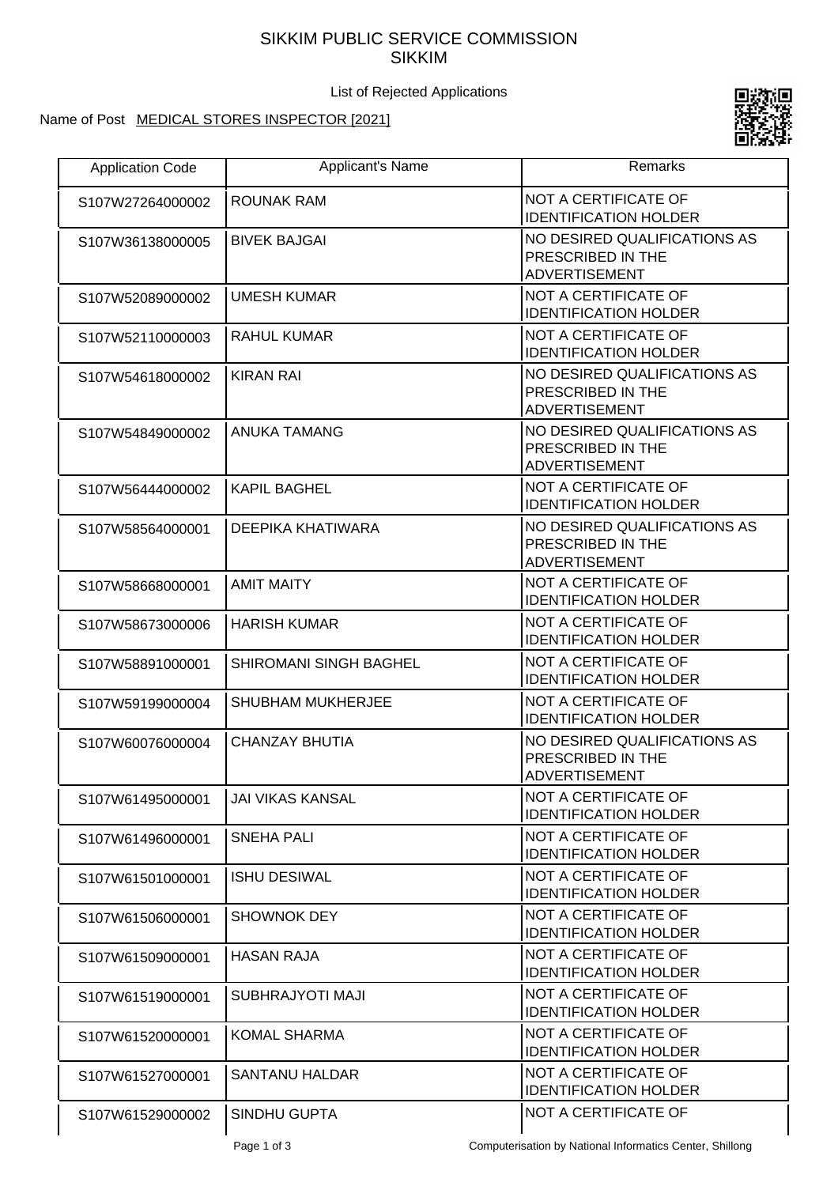## SIKKIM PUBLIC SERVICE COMMISSION SIKKIM

List of Rejected Applications

## Name of Post MEDICAL STORES INSPECTOR [2021]



| <b>Application Code</b> | Applicant's Name              | Remarks                                                                   |
|-------------------------|-------------------------------|---------------------------------------------------------------------------|
| S107W27264000002        | ROUNAK RAM                    | <b>NOT A CERTIFICATE OF</b><br><b>IDENTIFICATION HOLDER</b>               |
| S107W36138000005        | <b>BIVEK BAJGAI</b>           | NO DESIRED QUALIFICATIONS AS<br>PRESCRIBED IN THE<br><b>ADVERTISEMENT</b> |
| S107W52089000002        | <b>UMESH KUMAR</b>            | NOT A CERTIFICATE OF<br><b>IDENTIFICATION HOLDER</b>                      |
| S107W52110000003        | <b>RAHUL KUMAR</b>            | NOT A CERTIFICATE OF<br><b>IDENTIFICATION HOLDER</b>                      |
| S107W54618000002        | <b>KIRAN RAI</b>              | NO DESIRED QUALIFICATIONS AS<br>PRESCRIBED IN THE<br><b>ADVERTISEMENT</b> |
| S107W54849000002        | <b>ANUKA TAMANG</b>           | NO DESIRED QUALIFICATIONS AS<br>PRESCRIBED IN THE<br><b>ADVERTISEMENT</b> |
| S107W56444000002        | <b>KAPIL BAGHEL</b>           | NOT A CERTIFICATE OF<br><b>IDENTIFICATION HOLDER</b>                      |
| S107W58564000001        | DEEPIKA KHATIWARA             | NO DESIRED QUALIFICATIONS AS<br>PRESCRIBED IN THE<br><b>ADVERTISEMENT</b> |
| S107W58668000001        | <b>AMIT MAITY</b>             | NOT A CERTIFICATE OF<br><b>IDENTIFICATION HOLDER</b>                      |
| S107W58673000006        | <b>HARISH KUMAR</b>           | NOT A CERTIFICATE OF<br><b>IDENTIFICATION HOLDER</b>                      |
| S107W58891000001        | <b>SHIROMANI SINGH BAGHEL</b> | NOT A CERTIFICATE OF<br><b>IDENTIFICATION HOLDER</b>                      |
| S107W59199000004        | <b>SHUBHAM MUKHERJEE</b>      | NOT A CERTIFICATE OF<br><b>IDENTIFICATION HOLDER</b>                      |
| S107W60076000004        | <b>CHANZAY BHUTIA</b>         | NO DESIRED QUALIFICATIONS AS<br>PRESCRIBED IN THE<br><b>ADVERTISEMENT</b> |
| S107W61495000001        | JAI VIKAS KANSAL              | NOT A CERTIFICATE OF<br><b>IDENTIFICATION HOLDER</b>                      |
| S107W61496000001        | <b>SNEHA PALI</b>             | <b>NOT A CERTIFICATE OF</b><br><b>IDENTIFICATION HOLDER</b>               |
| S107W61501000001        | <b>ISHU DESIWAL</b>           | NOT A CERTIFICATE OF<br><b>IDENTIFICATION HOLDER</b>                      |
| S107W61506000001        | <b>SHOWNOK DEY</b>            | NOT A CERTIFICATE OF<br><b>IDENTIFICATION HOLDER</b>                      |
| S107W61509000001        | <b>HASAN RAJA</b>             | NOT A CERTIFICATE OF<br><b>IDENTIFICATION HOLDER</b>                      |
| S107W61519000001        | SUBHRAJYOTI MAJI              | NOT A CERTIFICATE OF<br><b>IDENTIFICATION HOLDER</b>                      |
| S107W61520000001        | <b>KOMAL SHARMA</b>           | NOT A CERTIFICATE OF<br><b>IDENTIFICATION HOLDER</b>                      |
| S107W61527000001        | <b>SANTANU HALDAR</b>         | NOT A CERTIFICATE OF<br><b>IDENTIFICATION HOLDER</b>                      |
| S107W61529000002        | SINDHU GUPTA                  | NOT A CERTIFICATE OF                                                      |

Page 1 of 3 Computerisation by National Informatics Center, Shillong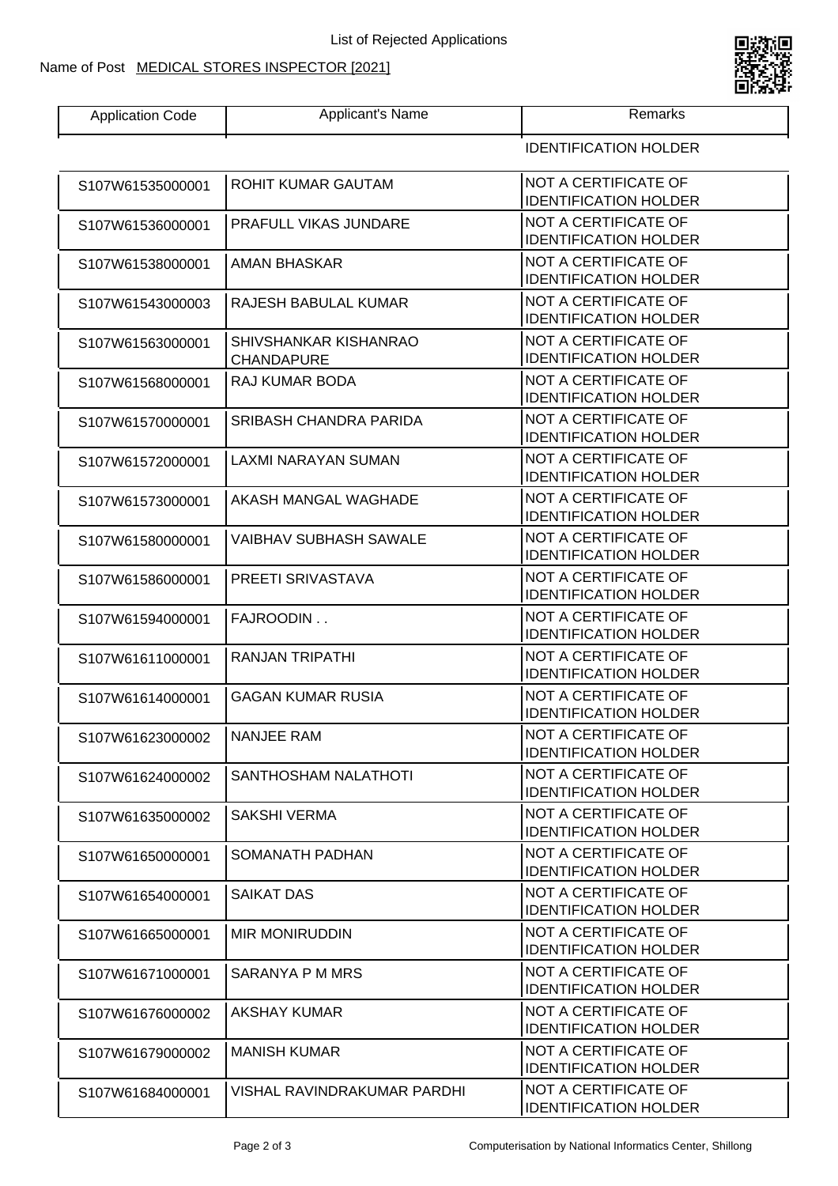## Name of Post MEDICAL STORES INSPECTOR [2021]

 $\Gamma$ 



| Application Code | Applicant's Name | ≺emarks |
|------------------|------------------|---------|
|                  |                  |         |

| <b>IDENTIFICATION HOLDER</b> |  |
|------------------------------|--|
|------------------------------|--|

| S107W61535000001 | ROHIT KUMAR GAUTAM                         | NOT A CERTIFICATE OF<br><b>IDENTIFICATION HOLDER</b>        |
|------------------|--------------------------------------------|-------------------------------------------------------------|
| S107W61536000001 | <b>PRAFULL VIKAS JUNDARE</b>               | <b>NOT A CERTIFICATE OF</b><br><b>IDENTIFICATION HOLDER</b> |
| S107W61538000001 | AMAN BHASKAR                               | <b>NOT A CERTIFICATE OF</b><br><b>IDENTIFICATION HOLDER</b> |
| S107W61543000003 | RAJESH BABULAL KUMAR                       | NOT A CERTIFICATE OF<br><b>IDENTIFICATION HOLDER</b>        |
| S107W61563000001 | SHIVSHANKAR KISHANRAO<br><b>CHANDAPURE</b> | NOT A CERTIFICATE OF<br><b>IDENTIFICATION HOLDER</b>        |
| S107W61568000001 | RAJ KUMAR BODA                             | <b>NOT A CERTIFICATE OF</b><br><b>IDENTIFICATION HOLDER</b> |
| S107W61570000001 | SRIBASH CHANDRA PARIDA                     | NOT A CERTIFICATE OF<br><b>IDENTIFICATION HOLDER</b>        |
| S107W61572000001 | LAXMI NARAYAN SUMAN                        | NOT A CERTIFICATE OF<br><b>IDENTIFICATION HOLDER</b>        |
| S107W61573000001 | AKASH MANGAL WAGHADE                       | <b>NOT A CERTIFICATE OF</b><br><b>IDENTIFICATION HOLDER</b> |
| S107W61580000001 | VAIBHAV SUBHASH SAWALE                     | NOT A CERTIFICATE OF<br><b>IDENTIFICATION HOLDER</b>        |
| S107W61586000001 | PREETI SRIVASTAVA                          | <b>NOT A CERTIFICATE OF</b><br><b>IDENTIFICATION HOLDER</b> |
| S107W61594000001 | FAJROODIN                                  | <b>NOT A CERTIFICATE OF</b><br><b>IDENTIFICATION HOLDER</b> |
| S107W61611000001 | RANJAN TRIPATHI                            | NOT A CERTIFICATE OF<br><b>IDENTIFICATION HOLDER</b>        |
| S107W61614000001 | <b>GAGAN KUMAR RUSIA</b>                   | <b>NOT A CERTIFICATE OF</b><br><b>IDENTIFICATION HOLDER</b> |
| S107W61623000002 | <b>NANJEE RAM</b>                          | <b>NOT A CERTIFICATE OF</b><br><b>IDENTIFICATION HOLDER</b> |
| S107W61624000002 | SANTHOSHAM NALATHOTI                       | NOT A CERTIFICATE OF<br><b>IDENTIFICATION HOLDER</b>        |
| S107W61635000002 | <b>SAKSHI VERMA</b>                        | NOT A CERTIFICATE OF<br><b>IDENTIFICATION HOLDER</b>        |
| S107W61650000001 | SOMANATH PADHAN                            | <b>NOT A CERTIFICATE OF</b><br><b>IDENTIFICATION HOLDER</b> |
| S107W61654000001 | <b>SAIKAT DAS</b>                          | NOT A CERTIFICATE OF<br><b>IDENTIFICATION HOLDER</b>        |
| S107W61665000001 | <b>MIR MONIRUDDIN</b>                      | NOT A CERTIFICATE OF<br><b>IDENTIFICATION HOLDER</b>        |
| S107W61671000001 | SARANYA P M MRS                            | <b>NOT A CERTIFICATE OF</b><br><b>IDENTIFICATION HOLDER</b> |
| S107W61676000002 | <b>AKSHAY KUMAR</b>                        | NOT A CERTIFICATE OF<br><b>IDENTIFICATION HOLDER</b>        |
| S107W61679000002 | <b>MANISH KUMAR</b>                        | NOT A CERTIFICATE OF<br><b>IDENTIFICATION HOLDER</b>        |
| S107W61684000001 | VISHAL RAVINDRAKUMAR PARDHI                | <b>NOT A CERTIFICATE OF</b><br><b>IDENTIFICATION HOLDER</b> |